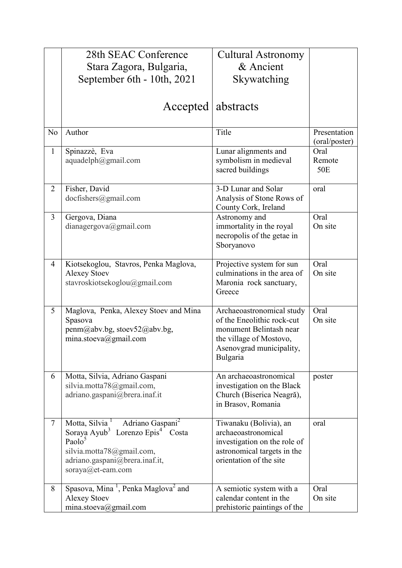|                | 28th SEAC Conference                                                                                                                                                                                                                | <b>Cultural Astronomy</b>                                                                                                                             |                                   |
|----------------|-------------------------------------------------------------------------------------------------------------------------------------------------------------------------------------------------------------------------------------|-------------------------------------------------------------------------------------------------------------------------------------------------------|-----------------------------------|
|                | Stara Zagora, Bulgaria,                                                                                                                                                                                                             | & Ancient                                                                                                                                             |                                   |
|                | September 6th - 10th, 2021                                                                                                                                                                                                          | Skywatching                                                                                                                                           |                                   |
|                |                                                                                                                                                                                                                                     |                                                                                                                                                       |                                   |
|                | $Accepted$ abstracts                                                                                                                                                                                                                |                                                                                                                                                       |                                   |
| N <sub>o</sub> | Author                                                                                                                                                                                                                              | Title                                                                                                                                                 | Presentation<br>(oral/poster)     |
| $\mathbf{1}$   | Spinazzè, Eva<br>aquadelph@gmail.com                                                                                                                                                                                                | Lunar alignments and<br>symbolism in medieval<br>sacred buildings                                                                                     | Oral<br>Remote<br>50 <sub>E</sub> |
| $\overline{2}$ | Fisher, David<br>docfishers@gmail.com                                                                                                                                                                                               | 3-D Lunar and Solar<br>Analysis of Stone Rows of<br>County Cork, Ireland                                                                              | oral                              |
| 3              | Gergova, Diana<br>dianagergova@gmail.com                                                                                                                                                                                            | Astronomy and<br>immortality in the royal<br>necropolis of the getae in<br>Sboryanovo                                                                 | Oral<br>On site                   |
| $\overline{4}$ | Kiotsekoglou, Stavros, Penka Maglova,<br><b>Alexey Stoev</b><br>stavroskiotsekoglou@gmail.com                                                                                                                                       | Projective system for sun<br>culminations in the area of<br>Maronia rock sanctuary,<br>Greece                                                         | Oral<br>On site                   |
| 5              | Maglova, Penka, Alexey Stoev and Mina<br>Spasova<br>penm@abv.bg, stoev52@abv.bg,<br>mina.stoeva@gmail.com                                                                                                                           | Archaeoastronomical study<br>of the Eneolithic rock-cut<br>monument Belintash near<br>the village of Mostovo,<br>Asenovgrad municipality,<br>Bulgaria | Oral<br>On site                   |
| 6              | Motta, Silvia, Adriano Gaspani<br>silvia.motta78@gmail.com,<br>adriano.gaspani@brera.inaf.it                                                                                                                                        | An archaeoastronomical<br>investigation on the Black<br>Church (Biserica Neagră),<br>in Brasov, Romania                                               | poster                            |
| $\overline{7}$ | Motta, Silvia <sup>1</sup><br>Adriano Gaspani <sup>2</sup><br>Soraya Ayub <sup>3</sup> Lorenzo Epis <sup>4</sup><br>Costa<br>Paolo <sup>5</sup><br>silvia.motta78@gmail.com,<br>adriano.gaspani@brera.inaf.it,<br>soraya@et-eam.com | Tiwanaku (Bolivia), an<br>archaeoastronomical<br>investigation on the role of<br>astronomical targets in the<br>orientation of the site               | oral                              |
| 8              | Spasova, Mina <sup>1</sup> , Penka Maglova <sup>2</sup> and<br><b>Alexey Stoev</b><br>mina.stoeva@gmail.com                                                                                                                         | A semiotic system with a<br>calendar content in the<br>prehistoric paintings of the                                                                   | Oral<br>On site                   |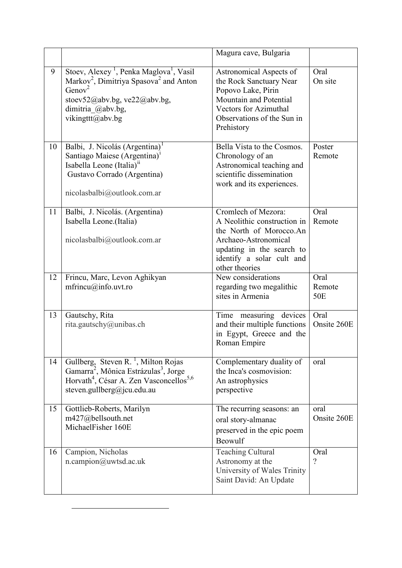|    |                                                                                                                                                                                                                                  | Magura cave, Bulgaria                                                                                                                                                             |                        |
|----|----------------------------------------------------------------------------------------------------------------------------------------------------------------------------------------------------------------------------------|-----------------------------------------------------------------------------------------------------------------------------------------------------------------------------------|------------------------|
| 9  | Stoev, Alexey <sup>1</sup> , Penka Maglova <sup>1</sup> , Vasil<br>Markov <sup>2</sup> , Dimitriya Spasova <sup>2</sup> and Anton<br>Genov <sup>2</sup><br>stoev52@abv.bg, ve22@abv.bg,<br>dimitria @abv.bg,<br>vikingttt@abv.bg | Astronomical Aspects of<br>the Rock Sanctuary Near<br>Popovo Lake, Pirin<br>Mountain and Potential<br><b>Vectors for Azimuthal</b><br>Observations of the Sun in<br>Prehistory    | Oral<br>On site        |
| 10 | Balbi, J. Nicolás (Argentina) <sup>1</sup><br>Santiago Maiese (Argentina) <sup>1</sup><br>Isabella Leone (Italia) <sup>11</sup><br>Gustavo Corrado (Argentina)<br>nicolasbalbi@outlook.com.ar                                    | Bella Vista to the Cosmos.<br>Chronology of an<br>Astronomical teaching and<br>scientific dissemination<br>work and its experiences.                                              | Poster<br>Remote       |
| 11 | Balbi, J. Nicolás. (Argentina)<br>Isabella Leone.(Italia)<br>nicolasbalbi@outlook.com.ar                                                                                                                                         | Cromlech of Mezora:<br>A Neolithic construction in<br>the North of Morocco.An<br>Archaeo-Astronomical<br>updating in the search to<br>identify a solar cult and<br>other theories | Oral<br>Remote         |
| 12 | Frincu, Marc, Levon Aghikyan<br>$m$ frincu $@$ info.uvt.ro                                                                                                                                                                       | New considerations<br>regarding two megalithic<br>sites in Armenia                                                                                                                | Oral<br>Remote<br>50E  |
| 13 | Gautschy, Rita<br>rita.gautschy@unibas.ch                                                                                                                                                                                        | Time<br>measuring<br>devices<br>and their multiple functions<br>in Egypt, Greece and the<br>Roman Empire                                                                          | Oral<br>Onsite 260E    |
| 14 | Gullberg, Steven R. <sup>1</sup> , Milton Rojas<br>Gamarra <sup>2</sup> , Mônica Estrázulas <sup>3</sup> , Jorge<br>Horvath <sup>4</sup> , César A. Zen Vasconcellos <sup>5,6</sup><br>steven.gullberg@jcu.edu.au                | Complementary duality of<br>the Inca's cosmovision:<br>An astrophysics<br>perspective                                                                                             | oral                   |
| 15 | Gottlieb-Roberts, Marilyn<br>m427@bellsouth.net<br>MichaelFisher 160E                                                                                                                                                            | The recurring seasons: an<br>oral story-almanac<br>preserved in the epic poem<br>Beowulf                                                                                          | oral<br>Onsite 260E    |
| 16 | Campion, Nicholas<br>n.campion@uwtsd.ac.uk                                                                                                                                                                                       | <b>Teaching Cultural</b><br>Astronomy at the<br>University of Wales Trinity<br>Saint David: An Update                                                                             | Oral<br>$\overline{?}$ |

<span id="page-1-0"></span> $\overline{a}$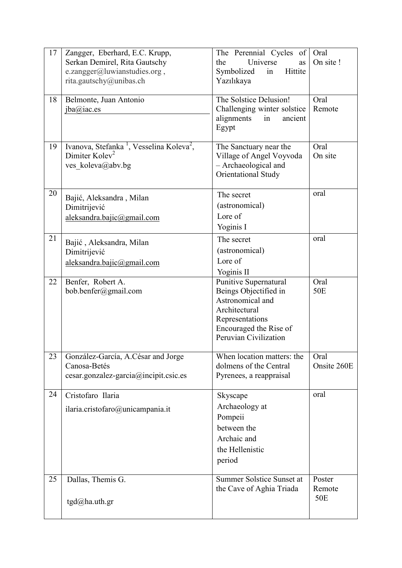| 17 | Zangger, Eberhard, E.C. Krupp,<br>Serkan Demirel, Rita Gautschy<br>e.zangger@luwianstudies.org,<br>rita.gautschy@unibas.ch | The Perennial Cycles of<br>Universe<br>the<br>as<br>Symbolized<br>Hittite<br>in<br>Yazılıkaya                                                             | Oral<br>On site !                   |
|----|----------------------------------------------------------------------------------------------------------------------------|-----------------------------------------------------------------------------------------------------------------------------------------------------------|-------------------------------------|
| 18 | Belmonte, Juan Antonio<br>iba@iac.es                                                                                       | The Solstice Delusion!<br>Challenging winter solstice<br>alignments<br>ancient<br>in<br>Egypt                                                             | Oral<br>Remote                      |
| 19 | Ivanova, Stefanka <sup>1</sup> , Vesselina Koleva <sup>2</sup> ,<br>Dimiter Kolev <sup>2</sup><br>ves koleva@abv.bg        | The Sanctuary near the<br>Village of Angel Voyvoda<br>- Archaeological and<br>Orientational Study                                                         | Oral<br>On site                     |
| 20 | Bajić, Aleksandra, Milan<br>Dimitrijević<br>aleksandra.bajic@gmail.com                                                     | The secret<br>(astronomical)<br>Lore of<br>Yoginis I                                                                                                      | oral                                |
| 21 | Bajić, Aleksandra, Milan<br>Dimitrijević<br>aleksandra.bajic@gmail.com                                                     | The secret<br>(astronomical)<br>Lore of<br>Yoginis II                                                                                                     | oral                                |
| 22 | Benfer, Robert A.<br>bob.benfer@gmail.com                                                                                  | Punitive Supernatural<br>Beings Objectified in<br>Astronomical and<br>Architectural<br>Representations<br>Encouraged the Rise of<br>Peruvian Civilization | Oral<br>50 <sub>E</sub>             |
| 23 | González-García, A.César and Jorge<br>Canosa-Betés<br>cesar.gonzalez-garcia@incipit.csic.es                                | When location matters: the<br>dolmens of the Central<br>Pyrenees, a reappraisal                                                                           | Oral<br>Onsite 260E                 |
| 24 | Cristofaro Ilaria<br>ilaria.cristofaro@unicampania.it                                                                      | Skyscape<br>Archaeology at<br>Pompeii<br>between the<br>Archaic and<br>the Hellenistic<br>period                                                          | oral                                |
| 25 | Dallas, Themis G.<br>tgd@ha.uth.gr                                                                                         | Summer Solstice Sunset at<br>the Cave of Aghia Triada                                                                                                     | Poster<br>Remote<br>50 <sub>E</sub> |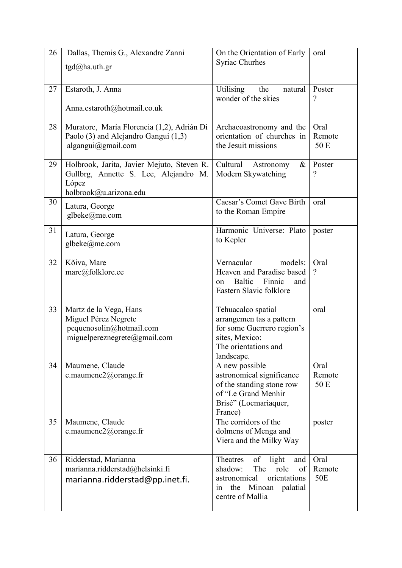| 26 | Dallas, Themis G., Alexandre Zanni                                                 | On the Orientation of Early                              | oral                     |
|----|------------------------------------------------------------------------------------|----------------------------------------------------------|--------------------------|
|    | $tgd(\omega)$ ha.uth.gr                                                            | <b>Syriac Churhes</b>                                    |                          |
|    |                                                                                    |                                                          |                          |
| 27 | Estaroth, J. Anna                                                                  | Utilising<br>the<br>natural                              | Poster                   |
|    |                                                                                    | wonder of the skies                                      | $\overline{\phantom{a}}$ |
|    | Anna.estaroth@hotmail.co.uk                                                        |                                                          |                          |
|    |                                                                                    |                                                          | Oral                     |
| 28 | Muratore, María Florencia (1,2), Adrián Di<br>Paolo (3) and Alejandro Gangui (1,3) | Archaeoastronomy and the<br>orientation of churches in   | Remote                   |
|    | algangui@gmail.com                                                                 | the Jesuit missions                                      | 50 E                     |
|    |                                                                                    |                                                          |                          |
| 29 | Holbrook, Jarita, Javier Mejuto, Steven R.                                         | Cultural<br>&<br>Astronomy                               | Poster                   |
|    | Gullbrg, Annette S. Lee, Alejandro M.                                              | Modern Skywatching                                       | $\overline{\mathcal{L}}$ |
|    | López                                                                              |                                                          |                          |
| 30 | holbrook@u.arizona.edu                                                             | Caesar's Comet Gave Birth                                | oral                     |
|    | Latura, George                                                                     | to the Roman Empire                                      |                          |
|    | glbeke@me.com                                                                      |                                                          |                          |
| 31 | Latura, George                                                                     | Harmonic Universe: Plato                                 | poster                   |
|    | glbeke@me.com                                                                      | to Kepler                                                |                          |
|    |                                                                                    |                                                          |                          |
| 32 | Kõiva, Mare                                                                        | Vernacular<br>models:                                    | Oral                     |
|    | mare@folklore.ee                                                                   | Heaven and Paradise based                                | $\overline{\phantom{a}}$ |
|    |                                                                                    | Baltic<br>Finnic<br>and<br>on<br>Eastern Slavic folklore |                          |
|    |                                                                                    |                                                          |                          |
| 33 | Martz de la Vega, Hans                                                             | Tehuacalco spatial                                       | oral                     |
|    | Miguel Pérez Negrete                                                               | arrangemen tas a pattern                                 |                          |
|    | pequenosolin@hotmail.com                                                           | for some Guerrero region's                               |                          |
|    | miguelpereznegrete@gmail.com                                                       | sites, Mexico:                                           |                          |
|    |                                                                                    | The orientations and<br>landscape.                       |                          |
| 34 | Maumene, Claude                                                                    | A new possible                                           | Oral                     |
|    | c.maumene $2$ @orange.fr                                                           | astronomical significance                                | Remote                   |
|    |                                                                                    | of the standing stone row                                | 50 E                     |
|    |                                                                                    | of "Le Grand Menhir                                      |                          |
|    |                                                                                    | Brisé" (Locmariaquer,                                    |                          |
| 35 | Maumene, Claude                                                                    | France)<br>The corridors of the                          | poster                   |
|    | c.maumene $2@$ orange.fr                                                           | dolmens of Menga and                                     |                          |
|    |                                                                                    | Viera and the Milky Way                                  |                          |
|    |                                                                                    |                                                          |                          |
| 36 | Ridderstad, Marianna                                                               | light<br>Theatres<br>of<br>and                           | Oral                     |
|    | marianna.ridderstad@helsinki.fi                                                    | The<br>role<br>shadow:<br>of                             | Remote                   |
|    | marianna.ridderstad@pp.inet.fi.                                                    | astronomical<br>orientations<br>the Minoan<br>in         | 50E                      |
|    |                                                                                    | palatial<br>centre of Mallia                             |                          |
|    |                                                                                    |                                                          |                          |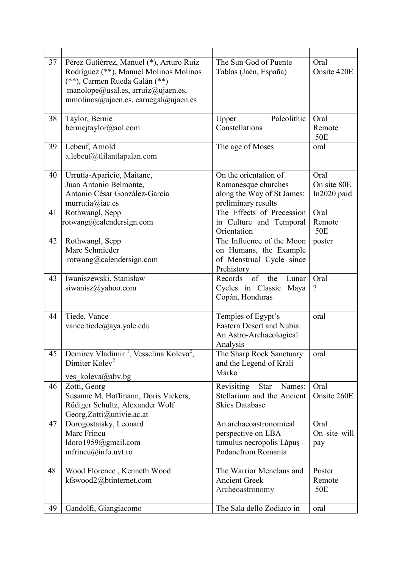| 37 | Pérez Gutiérrez, Manuel (*), Arturo Ruiz<br>Rodríguez (**), Manuel Molinos Molinos<br>(**), Carmen Rueda Galán (**)<br>manolope@usal.es, arruiz@ujaen.es,<br>mmolinos@ujaen.es, caruegal@ujaen.es | The Sun God of Puente<br>Tablas (Jaén, España)                                                    | Oral<br>Onsite 420E                 |
|----|---------------------------------------------------------------------------------------------------------------------------------------------------------------------------------------------------|---------------------------------------------------------------------------------------------------|-------------------------------------|
| 38 | Taylor, Bernie<br>berniejtaylor@aol.com                                                                                                                                                           | Paleolithic<br>Upper<br>Constellations                                                            | Oral<br>Remote<br>50 <sub>E</sub>   |
| 39 | Lebeuf, Arnold<br>a.lebeuf@tlilantlapalan.com                                                                                                                                                     | The age of Moses                                                                                  | oral                                |
| 40 | Urrutia-Aparicio, Maitane,<br>Juan Antonio Belmonte,<br>Antonio César González-García<br>murrutia@iac.es                                                                                          | On the orientation of<br>Romanesque churches<br>along the Way of St James:<br>preliminary results | Oral<br>On site 80E<br>In2020 paid  |
| 41 | Rothwangl, Sepp<br>rotwang@calendersign.com                                                                                                                                                       | The Effects of Precession<br>in Culture and Temporal<br>Orientation                               | Oral<br>Remote<br>50E               |
| 42 | Rothwangl, Sepp<br>Marc Schmieder<br>rotwang@calendersign.com                                                                                                                                     | The Influence of the Moon<br>on Humans, the Example<br>of Menstrual Cycle since<br>Prehistory     | poster                              |
| 43 | Iwaniszewski, Stanisław<br>siwanisz@yahoo.com                                                                                                                                                     | Records of the<br>Lunar<br>Cycles in Classic<br>Maya<br>Copán, Honduras                           | Oral<br>$\overline{\mathcal{L}}$    |
| 44 | Tiede, Vance<br>vance.tiede@aya.yale.edu                                                                                                                                                          | Temples of Egypt's<br><b>Eastern Desert and Nubia:</b><br>An Astro-Archaeological<br>Analysis     | oral                                |
| 45 | Demirev Vladimir <sup>1</sup> , Vesselina Koleva <sup>2</sup> ,<br>Dimiter Kolev <sup>2</sup><br>ves_koleva@abv.bg                                                                                | The Sharp Rock Sanctuary<br>and the Legend of Krali<br>Marko                                      | oral                                |
| 46 | Zotti, Georg<br>Susanne M. Hoffmann, Doris Vickers,<br>Rüdiger Schultz, Alexander Wolf<br>Georg.Zotti@univie.ac.at                                                                                | Revisiting<br>Star<br>Names:<br>Stellarium and the Ancient<br><b>Skies Database</b>               | Oral<br>Onsite 260E                 |
| 47 | Dorogostaisky, Leonard<br>Marc Frincu<br>ldoro1959@gmail.com<br>$m$ frincu $@$ info.uvt.ro                                                                                                        | An archaeoastronomical<br>perspective on LBA<br>tumulus necropolis Lăpuș –<br>Podancfrom Romania  | Oral<br>On site will<br>pay         |
| 48 | Wood Florence, Kenneth Wood<br>kfswood2@btinternet.com                                                                                                                                            | The Warrior Menelaus and<br><b>Ancient Greek</b><br>Archeoastronomy                               | Poster<br>Remote<br>50 <sub>E</sub> |
| 49 | Gandolfi, Giangiacomo                                                                                                                                                                             | The Sala dello Zodiaco in                                                                         | oral                                |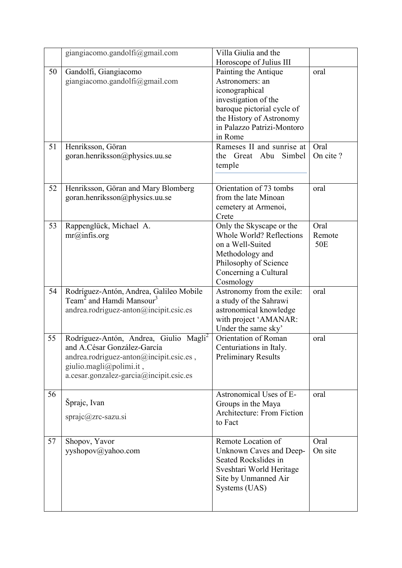|    | giangiacomo.gandolfi@gmail.com                     | Villa Giulia and the                  |          |
|----|----------------------------------------------------|---------------------------------------|----------|
|    |                                                    | Horoscope of Julius III               |          |
| 50 | Gandolfi, Giangiacomo                              | Painting the Antique                  | oral     |
|    | giangiacomo.gandolfi@gmail.com                     | Astronomers: an                       |          |
|    |                                                    | iconographical                        |          |
|    |                                                    | investigation of the                  |          |
|    |                                                    | baroque pictorial cycle of            |          |
|    |                                                    | the History of Astronomy              |          |
|    |                                                    | in Palazzo Patrizi-Montoro            |          |
|    |                                                    | in Rome                               |          |
| 51 | Henriksson, Göran                                  | Rameses II and sunrise at             | Oral     |
|    | goran.henriksson@physics.uu.se                     | the Great Abu Simbel                  | On cite? |
|    |                                                    | temple                                |          |
|    |                                                    |                                       |          |
| 52 | Henriksson, Göran and Mary Blomberg                | Orientation of 73 tombs               | oral     |
|    | goran.henriksson@physics.uu.se                     | from the late Minoan                  |          |
|    |                                                    | cemetery at Armenoi,                  |          |
|    |                                                    | Crete                                 |          |
| 53 | Rappenglück, Michael A.                            | Only the Skyscape or the              | Oral     |
|    | mr@infis.org                                       | Whole World? Reflections              | Remote   |
|    |                                                    | on a Well-Suited                      | 50E      |
|    |                                                    | Methodology and                       |          |
|    |                                                    | Philosophy of Science                 |          |
|    |                                                    | Concerning a Cultural                 |          |
|    |                                                    | Cosmology                             |          |
| 54 | Rodríguez-Antón, Andrea, Galileo Mobile            | Astronomy from the exile:             | oral     |
|    | Team <sup>2</sup> and Hamdi Mansour <sup>3</sup>   | a study of the Sahrawi                |          |
|    | andrea.rodriguez-anton@incipit.csic.es             | astronomical knowledge                |          |
|    |                                                    | with project 'AMANAR:                 |          |
|    |                                                    | Under the same sky'                   |          |
| 55 | Rodríguez-Antón, Andrea, Giulio Magli <sup>2</sup> | Orientation of Roman                  | oral     |
|    | and A.César González-García                        | Centuriations in Italy.               |          |
|    | andrea.rodriguez-anton@incipit.csic.es,            | <b>Preliminary Results</b>            |          |
|    | giulio.magli@polimi.it,                            |                                       |          |
|    | a.cesar.gonzalez-garcia@incipit.csic.es            |                                       |          |
|    |                                                    |                                       |          |
| 56 | Šprajc, Ivan                                       | Astronomical Uses of E-               | oral     |
|    |                                                    | Groups in the Maya                    |          |
|    | sprajc@zrc-sazu.si                                 | Architecture: From Fiction<br>to Fact |          |
|    |                                                    |                                       |          |
| 57 | Shopov, Yavor                                      | Remote Location of                    | Oral     |
|    | yyshopov@yahoo.com                                 | Unknown Caves and Deep-               | On site  |
|    |                                                    | Seated Rockslides in                  |          |
|    |                                                    | Sveshtari World Heritage              |          |
|    |                                                    | Site by Unmanned Air                  |          |
|    |                                                    | Systems (UAS)                         |          |
|    |                                                    |                                       |          |
|    |                                                    |                                       |          |